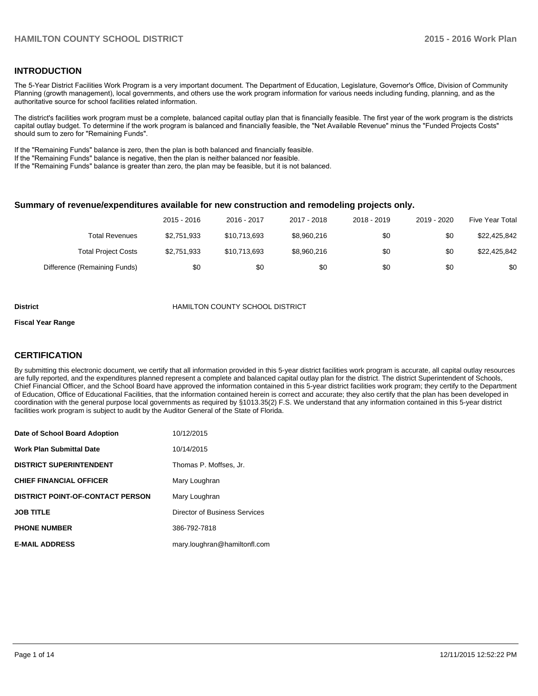#### **INTRODUCTION**

The 5-Year District Facilities Work Program is a very important document. The Department of Education, Legislature, Governor's Office, Division of Community Planning (growth management), local governments, and others use the work program information for various needs including funding, planning, and as the authoritative source for school facilities related information.

The district's facilities work program must be a complete, balanced capital outlay plan that is financially feasible. The first year of the work program is the districts capital outlay budget. To determine if the work program is balanced and financially feasible, the "Net Available Revenue" minus the "Funded Projects Costs" should sum to zero for "Remaining Funds".

If the "Remaining Funds" balance is zero, then the plan is both balanced and financially feasible.

If the "Remaining Funds" balance is negative, then the plan is neither balanced nor feasible.

If the "Remaining Funds" balance is greater than zero, the plan may be feasible, but it is not balanced.

#### **Summary of revenue/expenditures available for new construction and remodeling projects only.**

|                              | 2015 - 2016 | 2016 - 2017  | 2017 - 2018 | 2018 - 2019 | 2019 - 2020 | Five Year Total |
|------------------------------|-------------|--------------|-------------|-------------|-------------|-----------------|
| Total Revenues               | \$2,751,933 | \$10.713.693 | \$8,960,216 | \$0         | \$0         | \$22,425,842    |
| <b>Total Project Costs</b>   | \$2,751,933 | \$10.713.693 | \$8.960.216 | \$0         | \$0         | \$22,425,842    |
| Difference (Remaining Funds) | \$0         | \$0          | \$0         | \$0         | \$0         | \$0             |

#### **District** HAMILTON COUNTY SCHOOL DISTRICT

#### **Fiscal Year Range**

### **CERTIFICATION**

By submitting this electronic document, we certify that all information provided in this 5-year district facilities work program is accurate, all capital outlay resources are fully reported, and the expenditures planned represent a complete and balanced capital outlay plan for the district. The district Superintendent of Schools, Chief Financial Officer, and the School Board have approved the information contained in this 5-year district facilities work program; they certify to the Department of Education, Office of Educational Facilities, that the information contained herein is correct and accurate; they also certify that the plan has been developed in coordination with the general purpose local governments as required by §1013.35(2) F.S. We understand that any information contained in this 5-year district facilities work program is subject to audit by the Auditor General of the State of Florida.

| Date of School Board Adoption           | 10/12/2015                    |
|-----------------------------------------|-------------------------------|
| <b>Work Plan Submittal Date</b>         | 10/14/2015                    |
| <b>DISTRICT SUPERINTENDENT</b>          | Thomas P. Moffses, Jr.        |
| <b>CHIEF FINANCIAL OFFICER</b>          | Mary Loughran                 |
| <b>DISTRICT POINT-OF-CONTACT PERSON</b> | Mary Loughran                 |
| <b>JOB TITLE</b>                        | Director of Business Services |
| <b>PHONE NUMBER</b>                     | 386-792-7818                  |
| <b>E-MAIL ADDRESS</b>                   | mary.loughran@hamiltonfl.com  |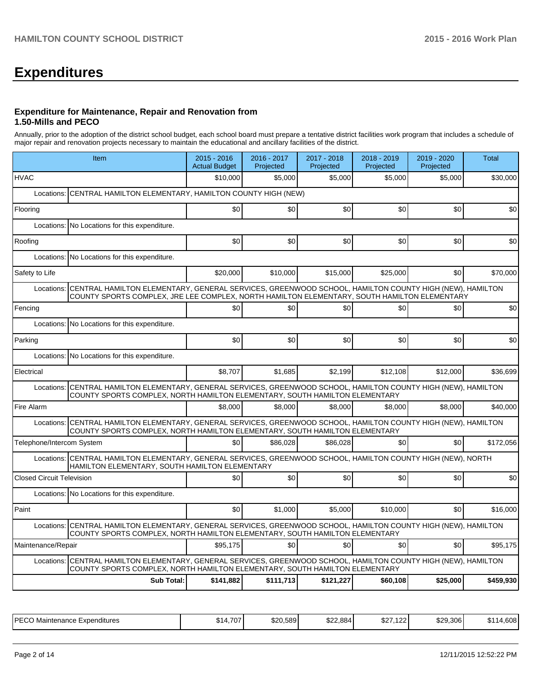# **Expenditures**

#### **Expenditure for Maintenance, Repair and Renovation from 1.50-Mills and PECO**

Annually, prior to the adoption of the district school budget, each school board must prepare a tentative district facilities work program that includes a schedule of major repair and renovation projects necessary to maintain the educational and ancillary facilities of the district.

|                                  | Item                                                                                                                                                                                                  | 2015 - 2016<br><b>Actual Budget</b> | 2016 - 2017<br>Projected | 2017 - 2018<br>Projected | 2018 - 2019<br>Projected | 2019 - 2020<br>Projected | <b>Total</b> |  |  |  |
|----------------------------------|-------------------------------------------------------------------------------------------------------------------------------------------------------------------------------------------------------|-------------------------------------|--------------------------|--------------------------|--------------------------|--------------------------|--------------|--|--|--|
| <b>HVAC</b>                      |                                                                                                                                                                                                       | \$10,000                            | \$5.000                  | \$5,000                  | \$5,000                  | \$5.000                  | \$30.000     |  |  |  |
| Locations:                       | CENTRAL HAMILTON ELEMENTARY, HAMILTON COUNTY HIGH (NEW)                                                                                                                                               |                                     |                          |                          |                          |                          |              |  |  |  |
| Flooring                         |                                                                                                                                                                                                       | \$0                                 | \$0                      | \$0                      | \$0                      | \$0                      | \$0          |  |  |  |
|                                  | Locations: No Locations for this expenditure.                                                                                                                                                         |                                     |                          |                          |                          |                          |              |  |  |  |
| Roofing                          |                                                                                                                                                                                                       | \$0                                 | \$0                      | \$0                      | \$0                      | \$0                      | \$0          |  |  |  |
|                                  | Locations: No Locations for this expenditure.                                                                                                                                                         |                                     |                          |                          |                          |                          |              |  |  |  |
| Safety to Life                   |                                                                                                                                                                                                       | \$20,000                            | \$10.000                 | \$15,000                 | \$25,000                 | \$0                      | \$70,000     |  |  |  |
| Locations:                       | CENTRAL HAMILTON ELEMENTARY, GENERAL SERVICES, GREENWOOD SCHOOL, HAMILTON COUNTY HIGH (NEW), HAMILTON<br>COUNTY SPORTS COMPLEX, JRE LEE COMPLEX, NORTH HAMILTON ELEMENTARY, SOUTH HAMILTON ELEMENTARY |                                     |                          |                          |                          |                          |              |  |  |  |
| Fencing                          |                                                                                                                                                                                                       | \$0                                 | \$0                      | \$0                      | \$0                      | \$0                      | \$0          |  |  |  |
| Locations:                       | No Locations for this expenditure.                                                                                                                                                                    |                                     |                          |                          |                          |                          |              |  |  |  |
| Parking                          |                                                                                                                                                                                                       | \$0                                 | \$0                      | \$0                      | \$0                      | \$0                      | \$0          |  |  |  |
|                                  | Locations: No Locations for this expenditure.                                                                                                                                                         |                                     |                          |                          |                          |                          |              |  |  |  |
| Electrical                       |                                                                                                                                                                                                       | \$8,707                             | \$1,685                  | \$2,199                  | \$12,108                 | \$12,000                 | \$36,699     |  |  |  |
|                                  | Locations: CENTRAL HAMILTON ELEMENTARY, GENERAL SERVICES, GREENWOOD SCHOOL, HAMILTON COUNTY HIGH (NEW), HAMILTON<br>COUNTY SPORTS COMPLEX, NORTH HAMILTON ELEMENTARY, SOUTH HAMILTON ELEMENTARY       |                                     |                          |                          |                          |                          |              |  |  |  |
| Fire Alarm                       |                                                                                                                                                                                                       | \$8,000                             | \$8,000                  | \$8,000                  | \$8,000                  | \$8.000                  | \$40,000     |  |  |  |
|                                  | Locations: CENTRAL HAMILTON ELEMENTARY, GENERAL SERVICES, GREENWOOD SCHOOL, HAMILTON COUNTY HIGH (NEW), HAMILTON<br>COUNTY SPORTS COMPLEX, NORTH HAMILTON ELEMENTARY, SOUTH HAMILTON ELEMENTARY       |                                     |                          |                          |                          |                          |              |  |  |  |
| Telephone/Intercom System        |                                                                                                                                                                                                       | \$0                                 | \$86.028                 | \$86.028                 | \$0                      | \$0                      | \$172,056    |  |  |  |
|                                  | Locations: CENTRAL HAMILTON ELEMENTARY, GENERAL SERVICES, GREENWOOD SCHOOL, HAMILTON COUNTY HIGH (NEW), NORTH<br>HAMILTON ELEMENTARY, SOUTH HAMILTON ELEMENTARY                                       |                                     |                          |                          |                          |                          |              |  |  |  |
| <b>Closed Circuit Television</b> |                                                                                                                                                                                                       | \$0                                 | \$0                      | \$0                      | \$0                      | \$0                      | \$0          |  |  |  |
|                                  | Locations: No Locations for this expenditure.                                                                                                                                                         |                                     |                          |                          |                          |                          |              |  |  |  |
| Paint                            |                                                                                                                                                                                                       | \$0                                 | \$1.000                  | \$5.000                  | \$10,000                 | \$0                      | \$16,000     |  |  |  |
| Locations:                       | CENTRAL HAMILTON ELEMENTARY, GENERAL SERVICES, GREENWOOD SCHOOL, HAMILTON COUNTY HIGH (NEW), HAMILTON<br>COUNTY SPORTS COMPLEX, NORTH HAMILTON ELEMENTARY, SOUTH HAMILTON ELEMENTARY                  |                                     |                          |                          |                          |                          |              |  |  |  |
| Maintenance/Repair               |                                                                                                                                                                                                       | \$95.175                            | \$0                      | \$0                      | \$0                      | \$0                      | \$95,175     |  |  |  |
| Locations:                       | CENTRAL HAMILTON ELEMENTARY, GENERAL SERVICES, GREENWOOD SCHOOL, HAMILTON COUNTY HIGH (NEW), HAMILTON<br>COUNTY SPORTS COMPLEX, NORTH HAMILTON ELEMENTARY, SOUTH HAMILTON ELEMENTARY                  |                                     |                          |                          |                          |                          |              |  |  |  |
|                                  | <b>Sub Total:</b>                                                                                                                                                                                     | \$141,882                           | \$111,713                | \$121,227                | \$60,108                 | \$25,000                 | \$459,930    |  |  |  |

| <b>PECC</b><br>Expenditures<br>Maintenance<br>- UV 1 | 707<br>$\mathbf{z}$<br>طادی<br>$\mathbf{r}$ | ا 20,589⊾ | \$22,884 | $\mathbf{A} \mathbf{A}$<br>1001<br>52<br>. . 22 . | \$29,306 | <b>GNR</b><br>∾⊿.<br>OUO |
|------------------------------------------------------|---------------------------------------------|-----------|----------|---------------------------------------------------|----------|--------------------------|
|------------------------------------------------------|---------------------------------------------|-----------|----------|---------------------------------------------------|----------|--------------------------|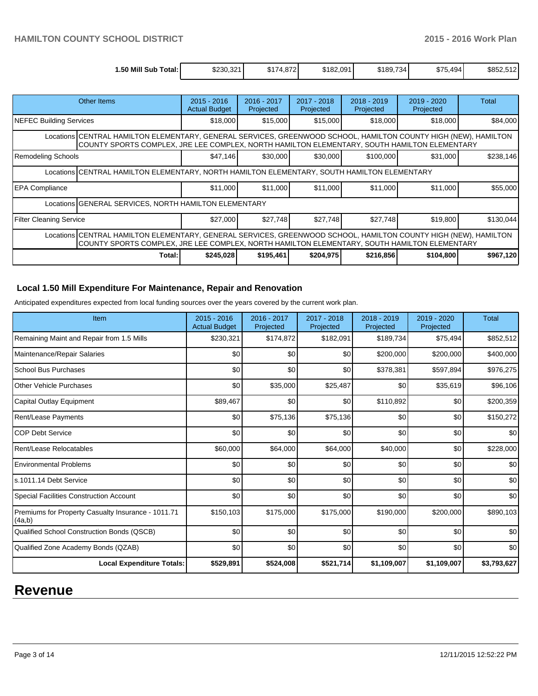| 1.50 Mill Sub<br>Total: ۱ | \$230,321 | <sup>↑174.87</sup> ∠∎<br>۰υ Φ | \$182,091 | \$189,734 | <b>CONT</b><br>.494<br>\$75, | \$852,512 |
|---------------------------|-----------|-------------------------------|-----------|-----------|------------------------------|-----------|

| Other Items                                                                                                                                                                                                     | $2015 - 2016$<br><b>Actual Budget</b>                                                                                                                                                                           | 2016 - 2017<br>Projected | 2017 - 2018<br>Projected | 2018 - 2019<br>Projected | 2019 - 2020<br>Projected | Total     |  |  |
|-----------------------------------------------------------------------------------------------------------------------------------------------------------------------------------------------------------------|-----------------------------------------------------------------------------------------------------------------------------------------------------------------------------------------------------------------|--------------------------|--------------------------|--------------------------|--------------------------|-----------|--|--|
| NEFEC Building Services                                                                                                                                                                                         | \$18,000                                                                                                                                                                                                        | \$15,000                 | \$15,000                 | \$18,000                 | \$18,000                 | \$84,000  |  |  |
|                                                                                                                                                                                                                 | Locations CENTRAL HAMILTON ELEMENTARY, GENERAL SERVICES, GREENWOOD SCHOOL, HAMILTON COUNTY HIGH (NEW), HAMILTON<br>COUNTY SPORTS COMPLEX, JRE LEE COMPLEX, NORTH HAMILTON ELEMENTARY, SOUTH HAMILTON ELEMENTARY |                          |                          |                          |                          |           |  |  |
| <b>Remodeling Schools</b>                                                                                                                                                                                       | \$47,146                                                                                                                                                                                                        | \$30,000                 | \$30,000                 | \$100,000                | \$31,000                 | \$238,146 |  |  |
| Locations CENTRAL HAMILTON ELEMENTARY, NORTH HAMILTON ELEMENTARY, SOUTH HAMILTON ELEMENTARY                                                                                                                     |                                                                                                                                                                                                                 |                          |                          |                          |                          |           |  |  |
| <b>IEPA Compliance</b>                                                                                                                                                                                          | \$11,000                                                                                                                                                                                                        | \$11,000                 | \$11,000                 | \$11,000                 | \$11,000                 | \$55,000  |  |  |
| Locations GENERAL SERVICES, NORTH HAMILTON ELEMENTARY                                                                                                                                                           |                                                                                                                                                                                                                 |                          |                          |                          |                          |           |  |  |
| Filter Cleaning Service                                                                                                                                                                                         | \$27,000                                                                                                                                                                                                        | \$27,748                 | \$27,748                 | \$27,748                 | \$19,800                 | \$130,044 |  |  |
| Locations CENTRAL HAMILTON ELEMENTARY, GENERAL SERVICES, GREENWOOD SCHOOL, HAMILTON COUNTY HIGH (NEW), HAMILTON<br>COUNTY SPORTS COMPLEX, JRE LEE COMPLEX, NORTH HAMILTON ELEMENTARY, SOUTH HAMILTON ELEMENTARY |                                                                                                                                                                                                                 |                          |                          |                          |                          |           |  |  |
| Total:                                                                                                                                                                                                          | \$245,028                                                                                                                                                                                                       | \$195,461                | \$204,975                | \$216,856                | \$104,800                | \$967,120 |  |  |

### **Local 1.50 Mill Expenditure For Maintenance, Repair and Renovation**

Anticipated expenditures expected from local funding sources over the years covered by the current work plan.

| Item                                                         | $2015 - 2016$<br><b>Actual Budget</b> | 2016 - 2017<br>Projected | 2017 - 2018<br>Projected | 2018 - 2019<br>Projected | 2019 - 2020<br>Projected | <b>Total</b> |
|--------------------------------------------------------------|---------------------------------------|--------------------------|--------------------------|--------------------------|--------------------------|--------------|
| Remaining Maint and Repair from 1.5 Mills                    | \$230,321                             | \$174,872                | \$182,091                | \$189,734                | \$75,494                 | \$852,512    |
| Maintenance/Repair Salaries                                  | \$0                                   | \$0                      | \$0                      | \$200,000                | \$200,000                | \$400,000    |
| <b>School Bus Purchases</b>                                  | \$0                                   | \$0                      | \$0                      | \$378,381                | \$597,894                | \$976,275    |
| <b>Other Vehicle Purchases</b>                               | \$0                                   | \$35,000                 | \$25,487                 | \$0                      | \$35,619                 | \$96,106     |
| Capital Outlay Equipment                                     | \$89,467                              | \$0                      | \$0                      | \$110,892                | \$0                      | \$200,359    |
| Rent/Lease Payments                                          | \$0                                   | \$75,136                 | \$75,136                 | \$0                      | \$0                      | \$150,272    |
| <b>COP Debt Service</b>                                      | \$0                                   | \$0                      | \$0                      | \$0                      | \$0                      | \$0          |
| Rent/Lease Relocatables                                      | \$60,000                              | \$64,000                 | \$64,000                 | \$40,000                 | \$0                      | \$228,000    |
| <b>Environmental Problems</b>                                | \$0                                   | \$0                      | \$0                      | \$0                      | \$0                      | \$0          |
| s.1011.14 Debt Service                                       | \$0                                   | \$0                      | \$0                      | \$0                      | \$0                      | \$0          |
| Special Facilities Construction Account                      | \$0                                   | \$0                      | \$0                      | \$0                      | \$0                      | \$0          |
| Premiums for Property Casualty Insurance - 1011.71<br>(4a,b) | \$150,103                             | \$175,000                | \$175,000                | \$190,000                | \$200,000                | \$890,103    |
| Qualified School Construction Bonds (QSCB)                   | \$0                                   | \$0                      | \$0                      | \$0                      | \$0                      | \$0          |
| Qualified Zone Academy Bonds (QZAB)                          | \$0                                   | \$0                      | \$0                      | \$0                      | \$0                      | \$0          |
| <b>Local Expenditure Totals:</b>                             | \$529,891                             | \$524,008                | \$521,714                | \$1,109,007              | \$1,109,007              | \$3,793,627  |

# **Revenue**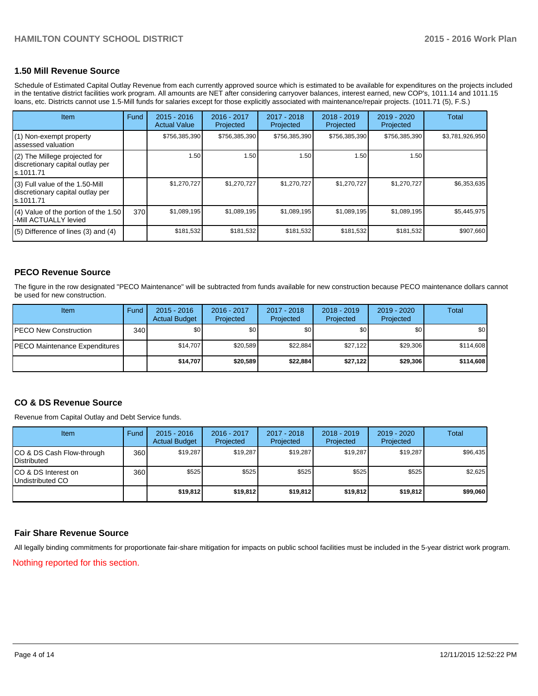# **1.50 Mill Revenue Source**

Schedule of Estimated Capital Outlay Revenue from each currently approved source which is estimated to be available for expenditures on the projects included in the tentative district facilities work program. All amounts are NET after considering carryover balances, interest earned, new COP's, 1011.14 and 1011.15 loans, etc. Districts cannot use 1.5-Mill funds for salaries except for those explicitly associated with maintenance/repair projects. (1011.71 (5), F.S.)

| <b>Item</b>                                                                       | Fund | $2015 - 2016$<br><b>Actual Value</b> | 2016 - 2017<br>Projected | $2017 - 2018$<br>Projected | $2018 - 2019$<br>Projected | 2019 - 2020<br>Projected | Total           |
|-----------------------------------------------------------------------------------|------|--------------------------------------|--------------------------|----------------------------|----------------------------|--------------------------|-----------------|
| (1) Non-exempt property<br>assessed valuation                                     |      | \$756,385,390                        | \$756,385,390            | \$756,385,390              | \$756,385,390              | \$756,385,390            | \$3,781,926,950 |
| (2) The Millege projected for<br>discretionary capital outlay per<br>ls.1011.71   |      | 1.50                                 | 1.50                     | 1.50                       | 1.50                       | 1.50                     |                 |
| (3) Full value of the 1.50-Mill<br>discretionary capital outlay per<br>ls.1011.71 |      | \$1,270,727                          | \$1,270,727              | \$1,270,727                | \$1,270,727                | \$1,270,727              | \$6,353,635     |
| (4) Value of the portion of the 1.50<br>-Mill ACTUALLY levied                     | 370  | \$1,089,195                          | \$1,089,195              | \$1,089,195                | \$1,089,195                | \$1,089,195              | \$5,445,975     |
| $(5)$ Difference of lines (3) and (4)                                             |      | \$181,532                            | \$181,532                | \$181,532                  | \$181,532                  | \$181,532                | \$907,660       |

#### **PECO Revenue Source**

The figure in the row designated "PECO Maintenance" will be subtracted from funds available for new construction because PECO maintenance dollars cannot be used for new construction.

| Item                                 | Fund             | $2015 - 2016$<br><b>Actual Budget</b> | 2016 - 2017<br>Projected | 2017 - 2018<br>Projected | $2018 - 2019$<br>Projected | $2019 - 2020$<br>Projected | Total     |
|--------------------------------------|------------------|---------------------------------------|--------------------------|--------------------------|----------------------------|----------------------------|-----------|
| <b>IPECO New Construction</b>        | 340 <sup>l</sup> | \$0 <sub>1</sub>                      | \$0                      | \$0                      | \$0 <sub>0</sub>           | \$0                        | \$0       |
| <b>PECO Maintenance Expenditures</b> |                  | \$14.707                              | \$20.589                 | \$22.884                 | \$27.122                   | \$29,306                   | \$114,608 |
|                                      |                  | \$14.707                              | \$20.589                 | \$22,884                 | \$27.122                   | \$29,306                   | \$114,608 |

#### **CO & DS Revenue Source**

Revenue from Capital Outlay and Debt Service funds.

| Item                                               | Fund | $2015 - 2016$<br><b>Actual Budget</b> | 2016 - 2017<br>Projected | 2017 - 2018<br>Projected | $2018 - 2019$<br>Projected | $2019 - 2020$<br>Projected | Total    |
|----------------------------------------------------|------|---------------------------------------|--------------------------|--------------------------|----------------------------|----------------------------|----------|
| ICO & DS Cash Flow-through<br><b>I</b> Distributed | 360  | \$19,287                              | \$19.287                 | \$19,287                 | \$19.287                   | \$19,287                   | \$96,435 |
| ICO & DS Interest on<br>Undistributed CO           | 360  | \$525                                 | \$525                    | \$525                    | \$525                      | \$525                      | \$2,625  |
|                                                    |      | \$19,812                              | \$19,812                 | \$19,812                 | \$19,812                   | \$19,812                   | \$99,060 |

#### **Fair Share Revenue Source**

All legally binding commitments for proportionate fair-share mitigation for impacts on public school facilities must be included in the 5-year district work program.

Nothing reported for this section.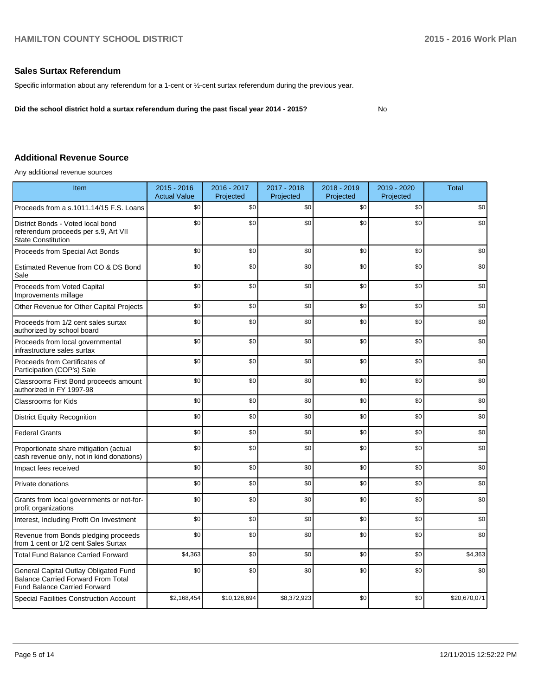#### **Sales Surtax Referendum**

Specific information about any referendum for a 1-cent or ½-cent surtax referendum during the previous year.

**Did the school district hold a surtax referendum during the past fiscal year 2014 - 2015?**

# No

# **Additional Revenue Source**

Any additional revenue sources

| Item                                                                                                                      | 2015 - 2016<br><b>Actual Value</b> | 2016 - 2017<br>Projected | 2017 - 2018<br>Projected | 2018 - 2019<br>Projected | 2019 - 2020<br>Projected | <b>Total</b> |
|---------------------------------------------------------------------------------------------------------------------------|------------------------------------|--------------------------|--------------------------|--------------------------|--------------------------|--------------|
| Proceeds from a s.1011.14/15 F.S. Loans                                                                                   | \$0                                | \$0                      | \$0                      | \$0                      | \$0                      | \$0          |
| District Bonds - Voted local bond<br>referendum proceeds per s.9, Art VII<br><b>State Constitution</b>                    | \$0                                | \$0                      | \$0                      | \$0                      | \$0                      | \$0          |
| Proceeds from Special Act Bonds                                                                                           | \$0                                | \$0                      | \$0                      | \$0                      | \$0                      | \$0          |
| Estimated Revenue from CO & DS Bond<br>Sale                                                                               | \$0                                | \$0                      | \$0                      | \$0                      | \$0                      | \$0          |
| Proceeds from Voted Capital<br>Improvements millage                                                                       | \$0                                | \$0                      | \$0                      | \$0                      | \$0                      | \$0          |
| Other Revenue for Other Capital Projects                                                                                  | \$0                                | \$0                      | \$0                      | \$0                      | \$0                      | \$0          |
| Proceeds from 1/2 cent sales surtax<br>authorized by school board                                                         | \$0                                | \$0                      | \$0                      | \$0                      | \$0                      | \$0          |
| Proceeds from local governmental<br>infrastructure sales surtax                                                           | \$0                                | \$0                      | \$0                      | \$0                      | \$0                      | \$0          |
| Proceeds from Certificates of<br>Participation (COP's) Sale                                                               | \$0                                | \$0                      | \$0                      | \$0                      | \$0                      | \$0          |
| Classrooms First Bond proceeds amount<br>authorized in FY 1997-98                                                         | \$0                                | \$0                      | \$0                      | \$0                      | \$0                      | \$0          |
| <b>Classrooms for Kids</b>                                                                                                | \$0                                | \$0                      | \$0                      | \$0                      | \$0                      | \$0          |
| <b>District Equity Recognition</b>                                                                                        | \$0                                | \$0                      | \$0                      | \$0                      | \$0                      | \$0          |
| <b>Federal Grants</b>                                                                                                     | \$0                                | \$0                      | \$0                      | \$0                      | \$0                      | \$0          |
| Proportionate share mitigation (actual<br>cash revenue only, not in kind donations)                                       | \$0                                | \$0                      | \$0                      | \$0                      | \$0                      | \$0          |
| Impact fees received                                                                                                      | \$0                                | \$0                      | \$0                      | \$0                      | \$0                      | \$0          |
| Private donations                                                                                                         | \$0                                | \$0                      | \$0                      | \$0                      | \$0                      | \$0          |
| Grants from local governments or not-for-<br>profit organizations                                                         | \$0                                | \$0                      | \$0                      | \$0                      | \$0                      | \$0          |
| Interest, Including Profit On Investment                                                                                  | \$0                                | \$0                      | \$0                      | \$0                      | \$0                      | \$0          |
| Revenue from Bonds pledging proceeds<br>from 1 cent or 1/2 cent Sales Surtax                                              | \$0                                | \$0                      | \$0                      | \$0                      | \$0                      | \$0          |
| <b>Total Fund Balance Carried Forward</b>                                                                                 | \$4,363                            | \$0                      | \$0                      | \$0                      | \$0                      | \$4,363      |
| General Capital Outlay Obligated Fund<br><b>Balance Carried Forward From Total</b><br><b>Fund Balance Carried Forward</b> | \$0                                | \$0                      | \$0                      | \$0                      | \$0                      | \$0          |
| Special Facilities Construction Account                                                                                   | \$2,168,454                        | \$10,128,694             | \$8,372,923              | \$0                      | \$0                      | \$20,670,071 |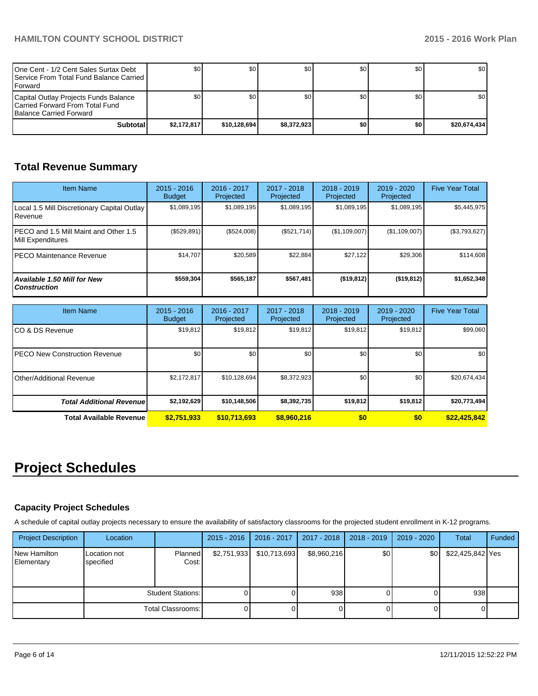| One Cent - 1/2 Cent Sales Surtax Debt<br><b>I</b> Service From Total Fund Balance Carried I<br><b>IForward</b> | \$0         | \$0          | \$0         | SO I  | \$0 | <b>SO</b> I      |
|----------------------------------------------------------------------------------------------------------------|-------------|--------------|-------------|-------|-----|------------------|
| Capital Outlay Projects Funds Balance<br>Carried Forward From Total Fund<br><b>Balance Carried Forward</b>     |             | \$٥١         | \$0         | SO I  | \$0 | \$0 <sub>1</sub> |
| Subtotal                                                                                                       | \$2.172.817 | \$10.128.694 | \$8.372.923 | \$O I | \$0 | \$20.674.434     |

# **Total Revenue Summary**

| <b>Item Name</b>                                           | $2015 - 2016$<br><b>Budget</b> | 2016 - 2017<br>Projected | $2017 - 2018$<br>Projected | $2018 - 2019$<br>Projected | 2019 - 2020<br>Projected | <b>Five Year Total</b> |
|------------------------------------------------------------|--------------------------------|--------------------------|----------------------------|----------------------------|--------------------------|------------------------|
| Local 1.5 Mill Discretionary Capital Outlay<br>l Revenue   | \$1,089,195                    | \$1,089,195              | \$1,089,195                | \$1,089,195                | \$1,089,195              | \$5,445,975            |
| PECO and 1.5 Mill Maint and Other 1.5<br>Mill Expenditures | (\$529,891)                    | (\$524,008)              | (S521.714)                 | (S1, 109, 007)             | (\$1,109,007)            | (\$3,793,627)          |
| IPECO Maintenance Revenue                                  | \$14.707                       | \$20,589                 | \$22.884                   | \$27.122                   | \$29,306                 | \$114.608              |
| <b>Available 1.50 Mill for New</b><br><b>Construction</b>  | \$559,304                      | \$565,187                | \$567,481                  | $($ \$19,812)              | (\$19,812)               | \$1,652,348            |

| <b>Item Name</b>                      | $2015 - 2016$<br><b>Budget</b> | 2016 - 2017<br>Projected | $2017 - 2018$<br>Projected | $2018 - 2019$<br>Projected | $2019 - 2020$<br>Projected | <b>Five Year Total</b> |
|---------------------------------------|--------------------------------|--------------------------|----------------------------|----------------------------|----------------------------|------------------------|
| ICO & DS Revenue                      | \$19,812                       | \$19,812                 | \$19,812                   | \$19,812                   | \$19,812                   | \$99,060               |
| <b>IPECO New Construction Revenue</b> | \$0                            | \$0                      | \$0                        | \$0                        | \$0                        | \$0                    |
| IOther/Additional Revenue             | \$2,172,817                    | \$10,128,694             | \$8,372,923                | \$0 <sub>1</sub>           | \$0 <sub>1</sub>           | \$20,674,434           |
| <b>Total Additional Revenuel</b>      | \$2,192,629                    | \$10,148,506             | \$8,392,735                | \$19,812                   | \$19,812                   | \$20,773,494           |
| <b>Total Available Revenue</b>        | \$2,751,933                    | \$10,713,693             | \$8,960,216                | \$0                        | \$0                        | \$22,425,842           |

# **Project Schedules**

# **Capacity Project Schedules**

A schedule of capital outlay projects necessary to ensure the availability of satisfactory classrooms for the projected student enrollment in K-12 programs.

| <b>Project Description</b> | Location                  |                         | $2015 - 2016$ | 2016 - 2017  | 2017 - 2018 | 2018 - 2019 | 2019 - 2020 | Total            | Funded |
|----------------------------|---------------------------|-------------------------|---------------|--------------|-------------|-------------|-------------|------------------|--------|
| New Hamilton<br>Elementary | Location not<br>specified | <b>Planned</b><br>Cost: | \$2,751,933   | \$10,713,693 | \$8,960,216 | \$0         | \$0         | \$22,425,842 Yes |        |
|                            | Student Stations:         |                         |               |              | 938         |             |             | 938              |        |
|                            |                           | Total Classrooms:       |               |              |             |             |             |                  |        |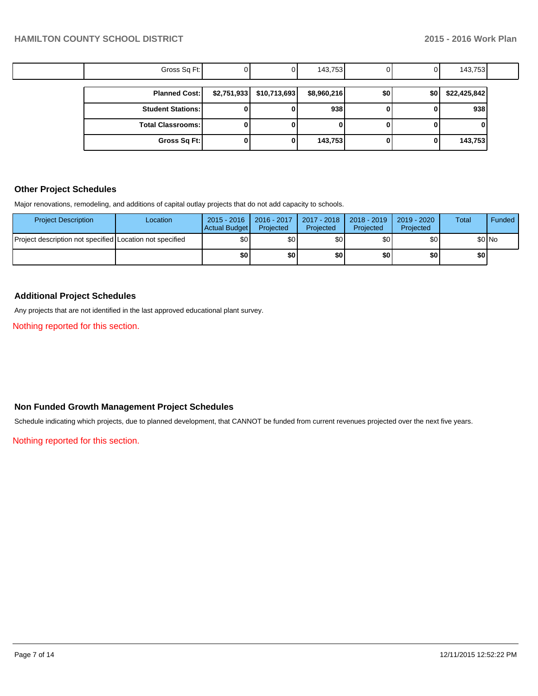| Gross Sq Ft:             |                            | 143,753     |     |     | 143,753      |
|--------------------------|----------------------------|-------------|-----|-----|--------------|
| <b>Planned Cost:</b>     | $$2,751,933$ $$10,713,693$ | \$8,960,216 | \$0 | \$0 | \$22,425,842 |
| <b>Student Stations:</b> |                            | 938         |     |     | 938          |
| <b>Total Classrooms:</b> |                            |             |     |     |              |
| Gross Sq Ft:             |                            | 143,753     |     |     | 143,753      |

### **Other Project Schedules**

Major renovations, remodeling, and additions of capital outlay projects that do not add capacity to schools.

| <b>Project Description</b>                               | Location | $2015 - 2016$<br>Actual Budget I | 2016 - 2017<br>Projected | 2017 - 2018<br>Projected | 2018 - 2019<br>Projected | 2019 - 2020<br>Projected | Total  | Funded |
|----------------------------------------------------------|----------|----------------------------------|--------------------------|--------------------------|--------------------------|--------------------------|--------|--------|
| Project description not specified Location not specified |          | \$0                              | \$0                      | \$0 <sub>1</sub>         | \$0 I                    | \$0                      | \$0 No |        |
|                                                          |          | \$O                              | \$OI                     | ا S0                     | \$0 I                    | \$0                      | \$0 I  |        |

# **Additional Project Schedules**

Any projects that are not identified in the last approved educational plant survey.

Nothing reported for this section.

# **Non Funded Growth Management Project Schedules**

Schedule indicating which projects, due to planned development, that CANNOT be funded from current revenues projected over the next five years.

Nothing reported for this section.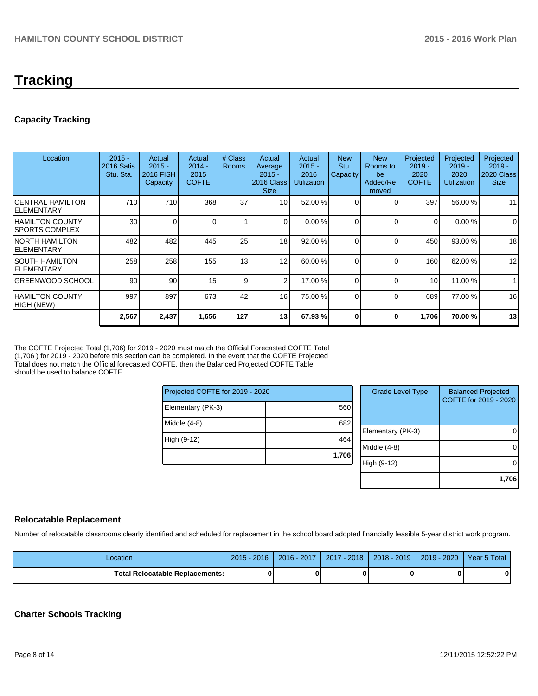# **Tracking**

# **Capacity Tracking**

| Location                              | $2015 -$<br>2016 Satis.<br>Stu. Sta. | Actual<br>$2015 -$<br>2016 FISH<br>Capacity | Actual<br>$2014 -$<br>2015<br><b>COFTE</b> | # Class<br><b>Rooms</b> | Actual<br>Average<br>$2015 -$<br>2016 Class<br><b>Size</b> | Actual<br>$2015 -$<br>2016<br><b>Utilization</b> | <b>New</b><br>Stu.<br>Capacity | <b>New</b><br>Rooms to<br>be<br>Added/Re<br>moved | Projected<br>$2019 -$<br>2020<br><b>COFTE</b> | Projected<br>$2019 -$<br>2020<br><b>Utilization</b> | Projected<br>$2019 -$<br>2020 Class<br><b>Size</b> |
|---------------------------------------|--------------------------------------|---------------------------------------------|--------------------------------------------|-------------------------|------------------------------------------------------------|--------------------------------------------------|--------------------------------|---------------------------------------------------|-----------------------------------------------|-----------------------------------------------------|----------------------------------------------------|
| ICENTRAL HAMILTON<br>IELEMENTARY      | 710                                  | 710                                         | 368                                        | 37                      | 10 <sup>1</sup>                                            | 52.00 %                                          | $\Omega$                       |                                                   | 397                                           | 56.00 %                                             | 11                                                 |
| I HAMILTON COUNTY<br>ISPORTS COMPLEX  | 30                                   | 0                                           |                                            |                         | $\Omega$                                                   | 0.00%                                            |                                |                                                   | $\Omega$                                      | 0.00%                                               | $\overline{0}$                                     |
| INORTH HAMILTON<br><b>IELEMENTARY</b> | 482                                  | 482                                         | 445                                        | 25                      | 18                                                         | 92.00 %                                          |                                |                                                   | 450                                           | 93.00 %                                             | 18                                                 |
| ISOUTH HAMILTON<br>IELEMENTARY        | 258                                  | 258                                         | 155                                        | 13                      | 12                                                         | 60.00 %                                          |                                | C                                                 | 160                                           | 62.00 %                                             | 12                                                 |
| IGREENWOOD SCHOOL                     | 90                                   | 90                                          | 15 <sup>1</sup>                            | 9                       | 2 <sub>1</sub>                                             | 17.00 %                                          | $\Omega$                       | ſ                                                 | 10 <sup>1</sup>                               | 11.00 %                                             |                                                    |
| IHAMILTON COUNTY<br>HIGH (NEW)        | 997                                  | 897                                         | 673                                        | 42                      | 16 <sup>1</sup>                                            | 75.00 %                                          | $\Omega$                       | C                                                 | 689                                           | 77.00 %                                             | 16                                                 |
|                                       | 2,567                                | 2,437                                       | 1,656                                      | 127                     | 13 <sup>1</sup>                                            | 67.93 %                                          | 0                              | 0                                                 | 1,706                                         | 70.00%                                              | 13                                                 |

The COFTE Projected Total (1,706) for 2019 - 2020 must match the Official Forecasted COFTE Total (1,706 ) for 2019 - 2020 before this section can be completed. In the event that the COFTE Projected Total does not match the Official forecasted COFTE, then the Balanced Projected COFTE Table should be used to balance COFTE.

| Projected COFTE for 2019 - 2020 |       |    |  |
|---------------------------------|-------|----|--|
| Elementary (PK-3)               | 560   |    |  |
| Middle $(4-8)$                  | 682   | F  |  |
| High (9-12)                     | 464   | ۱N |  |
|                                 | 1,706 |    |  |

| <b>Grade Level Type</b> | <b>Balanced Projected</b><br>COFTE for 2019 - 2020 |
|-------------------------|----------------------------------------------------|
| Elementary (PK-3)       |                                                    |
| Middle $(4-8)$          |                                                    |
| High (9-12)             |                                                    |
|                         | 1,706                                              |

#### **Relocatable Replacement**

Number of relocatable classrooms clearly identified and scheduled for replacement in the school board adopted financially feasible 5-year district work program.

| ∟ocation                          | $2015 - 2016$ | 2016 - 2017 | $-2018$<br>2017 | 2018 - 2019 | 2019 - 2020 | Year 5 Total |
|-----------------------------------|---------------|-------------|-----------------|-------------|-------------|--------------|
| Total Relocatable Replacements: I | ŋ             |             |                 |             |             |              |

#### **Charter Schools Tracking**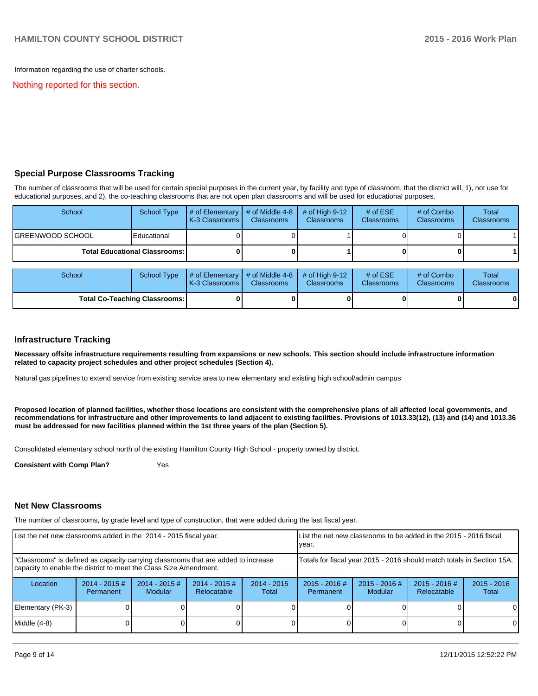Information regarding the use of charter schools.

Nothing reported for this section.

#### **Special Purpose Classrooms Tracking**

The number of classrooms that will be used for certain special purposes in the current year, by facility and type of classroom, that the district will, 1), not use for educational purposes, and 2), the co-teaching classrooms that are not open plan classrooms and will be used for educational purposes.

| School            | School Type                            | $\parallel$ # of Elementary $\parallel$ # of Middle 4-8 $\parallel$<br><b>IK-3 Classrooms I</b> | <b>Classrooms</b> | $\#$ of High 9-12<br><b>Classrooms</b> | # of $ESE$<br><b>Classrooms</b> | # of Combo<br><b>Classrooms</b> | Total<br><b>Classrooms</b> |
|-------------------|----------------------------------------|-------------------------------------------------------------------------------------------------|-------------------|----------------------------------------|---------------------------------|---------------------------------|----------------------------|
| IGREENWOOD SCHOOL | Educational                            |                                                                                                 |                   |                                        |                                 |                                 |                            |
|                   | <b>Total Educational Classrooms: I</b> |                                                                                                 |                   |                                        | o                               |                                 |                            |

| School                               | School Type | $\parallel$ # of Elementary $\parallel$ # of Middle 4-8 $\parallel$ # of High 9-12<br><b>K-3 Classrooms I</b> | <b>Classrooms</b> | <b>Classrooms</b> | $#$ of ESE<br><b>Classrooms</b> | # of Combo<br><b>Classrooms</b> | Total<br><b>Classrooms</b> |
|--------------------------------------|-------------|---------------------------------------------------------------------------------------------------------------|-------------------|-------------------|---------------------------------|---------------------------------|----------------------------|
| <b>Total Co-Teaching Classrooms:</b> |             |                                                                                                               |                   |                   |                                 | 0                               | $\bf{0}$                   |

#### **Infrastructure Tracking**

**Necessary offsite infrastructure requirements resulting from expansions or new schools. This section should include infrastructure information related to capacity project schedules and other project schedules (Section 4).**

Natural gas pipelines to extend service from existing service area to new elementary and existing high school/admin campus

**Proposed location of planned facilities, whether those locations are consistent with the comprehensive plans of all affected local governments, and recommendations for infrastructure and other improvements to land adjacent to existing facilities. Provisions of 1013.33(12), (13) and (14) and 1013.36 must be addressed for new facilities planned within the 1st three years of the plan (Section 5).**

Consolidated elementary school north of the existing Hamilton County High School - property owned by district.

**Consistent with Comp Plan?** Yes

#### **Net New Classrooms**

The number of classrooms, by grade level and type of construction, that were added during the last fiscal year.

| List the net new classrooms added in the 2014 - 2015 fiscal year.                                                                                       |                                                                        |                                   | Llist the net new classrooms to be added in the 2015 - 2016 fiscal<br>Ivear. |                        |                              |                        |  |          |
|---------------------------------------------------------------------------------------------------------------------------------------------------------|------------------------------------------------------------------------|-----------------------------------|------------------------------------------------------------------------------|------------------------|------------------------------|------------------------|--|----------|
| "Classrooms" is defined as capacity carrying classrooms that are added to increase<br>capacity to enable the district to meet the Class Size Amendment. | Totals for fiscal year 2015 - 2016 should match totals in Section 15A. |                                   |                                                                              |                        |                              |                        |  |          |
| Location                                                                                                                                                | $2014 - 2015$ #<br>Permanent                                           | $2014 - 2015$ #<br><b>Modular</b> | $2014 - 2015$ #<br>Relocatable                                               | $2014 - 2015$<br>Total | $2015 - 2016$ #<br>Permanent | $2015 - 2016$<br>Total |  |          |
| Elementary (PK-3)                                                                                                                                       |                                                                        |                                   |                                                                              |                        |                              |                        |  | $\Omega$ |
| Middle $(4-8)$                                                                                                                                          |                                                                        |                                   |                                                                              |                        |                              |                        |  | $\Omega$ |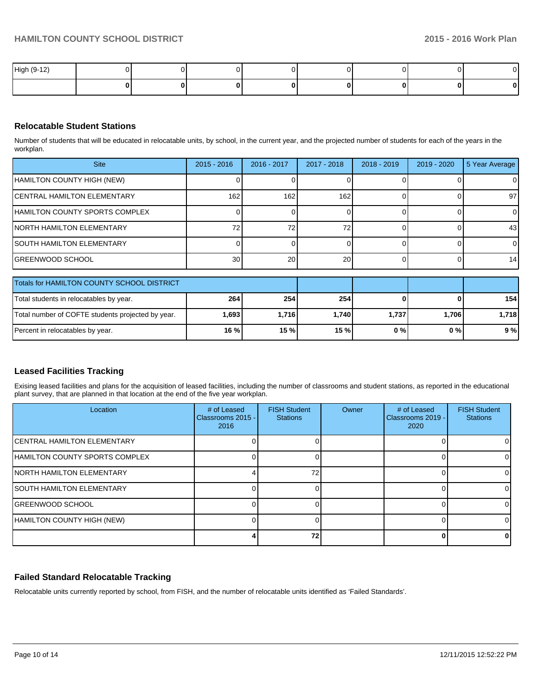| High (9-12) |  |  |  |  |
|-------------|--|--|--|--|
|             |  |  |  |  |

### **Relocatable Student Stations**

Number of students that will be educated in relocatable units, by school, in the current year, and the projected number of students for each of the years in the workplan.

| <b>Site</b>                                | $2015 - 2016$    | 2016 - 2017 | 2017 - 2018 | $2018 - 2019$ | $2019 - 2020$ | 5 Year Average |  |  |  |
|--------------------------------------------|------------------|-------------|-------------|---------------|---------------|----------------|--|--|--|
| HAMILTON COUNTY HIGH (NEW)                 |                  |             |             |               |               | 01             |  |  |  |
| <b>ICENTRAL HAMILTON ELEMENTARY</b>        | 162 <sub>1</sub> | 162         | 162         |               |               | 97             |  |  |  |
| HAMILTON COUNTY SPORTS COMPLEX             |                  |             |             |               |               | $\overline{0}$ |  |  |  |
| <b>NORTH HAMILTON ELEMENTARY</b>           | 72.              | 72          | 72          |               |               | 43             |  |  |  |
| <b>SOUTH HAMILTON ELEMENTARY</b>           |                  |             |             |               |               |                |  |  |  |
| <b>GREENWOOD SCHOOL</b>                    | 30 <sup>1</sup>  | 20          | 20          |               |               | 14             |  |  |  |
| Totals for HAMILTON COUNTY SCHOOL DISTRICT |                  |             |             |               |               |                |  |  |  |
|                                            |                  |             |             |               |               |                |  |  |  |

| <b>Trotals for HAMILTON COUNTY SCHOOL DISTRICT</b> |            |         |                  |       |       |         |
|----------------------------------------------------|------------|---------|------------------|-------|-------|---------|
| Total students in relocatables by year.            | <b>264</b> | 254     | 254 <sub>1</sub> |       |       | 154 l   |
| Total number of COFTE students projected by year.  | ا 693. ا   | 1.716 l | 1.740            | 1.737 | 1,706 | 1.718 I |
| Percent in relocatables by year.                   | 16 %       | 15 %l   | 15%              | 0 % I | 0 % I | 9 % l   |

# **Leased Facilities Tracking**

Exising leased facilities and plans for the acquisition of leased facilities, including the number of classrooms and student stations, as reported in the educational plant survey, that are planned in that location at the end of the five year workplan.

| Location                            | # of Leased<br>Classrooms 2015 - I<br>2016 | <b>FISH Student</b><br><b>Stations</b> | Owner | # of Leased<br>Classrooms 2019 -<br>2020 | <b>FISH Student</b><br><b>Stations</b> |
|-------------------------------------|--------------------------------------------|----------------------------------------|-------|------------------------------------------|----------------------------------------|
| <b>ICENTRAL HAMILTON ELEMENTARY</b> |                                            |                                        |       |                                          |                                        |
| HAMILTON COUNTY SPORTS COMPLEX      |                                            |                                        |       |                                          |                                        |
| <b>INORTH HAMILTON ELEMENTARY</b>   |                                            | 72                                     |       |                                          |                                        |
| <b>SOUTH HAMILTON ELEMENTARY</b>    |                                            |                                        |       |                                          |                                        |
| <b>IGREENWOOD SCHOOL</b>            |                                            |                                        |       |                                          |                                        |
| HAMILTON COUNTY HIGH (NEW)          |                                            |                                        |       |                                          |                                        |
|                                     |                                            | 72                                     |       |                                          |                                        |

# **Failed Standard Relocatable Tracking**

Relocatable units currently reported by school, from FISH, and the number of relocatable units identified as 'Failed Standards'.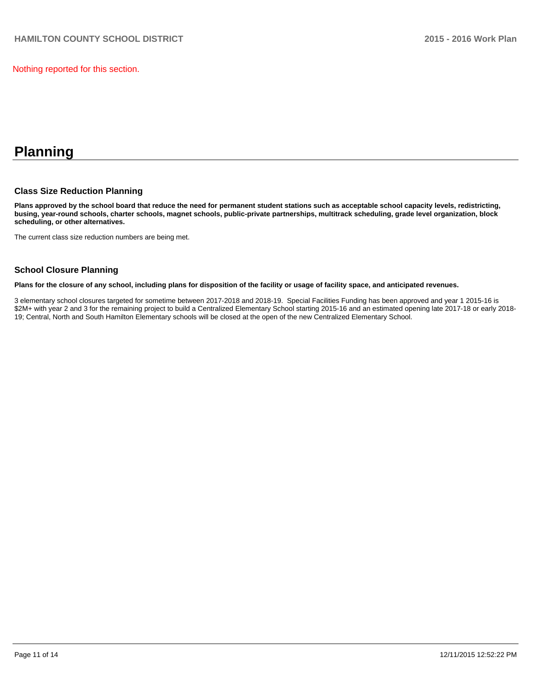Nothing reported for this section.

# **Planning**

#### **Class Size Reduction Planning**

**Plans approved by the school board that reduce the need for permanent student stations such as acceptable school capacity levels, redistricting, busing, year-round schools, charter schools, magnet schools, public-private partnerships, multitrack scheduling, grade level organization, block scheduling, or other alternatives.**

The current class size reduction numbers are being met.

#### **School Closure Planning**

**Plans for the closure of any school, including plans for disposition of the facility or usage of facility space, and anticipated revenues.**

3 elementary school closures targeted for sometime between 2017-2018 and 2018-19. Special Facilities Funding has been approved and year 1 2015-16 is \$2M+ with year 2 and 3 for the remaining project to build a Centralized Elementary School starting 2015-16 and an estimated opening late 2017-18 or early 2018-19; Central, North and South Hamilton Elementary schools will be closed at the open of the new Centralized Elementary School.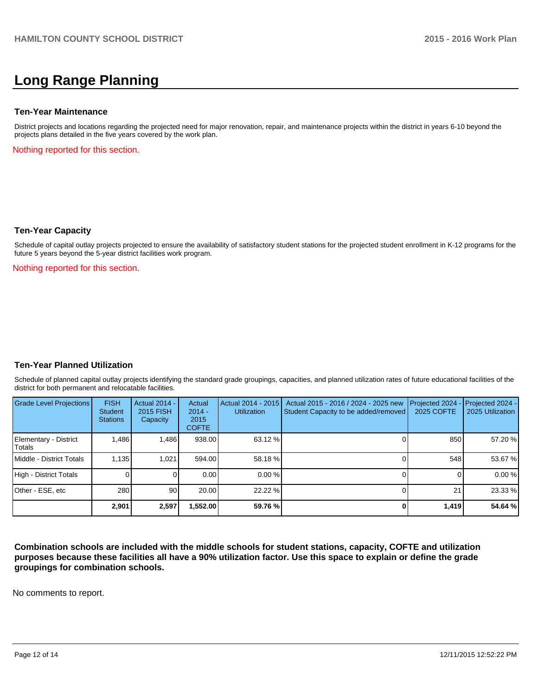# **Long Range Planning**

#### **Ten-Year Maintenance**

District projects and locations regarding the projected need for major renovation, repair, and maintenance projects within the district in years 6-10 beyond the projects plans detailed in the five years covered by the work plan.

Nothing reported for this section.

#### **Ten-Year Capacity**

Schedule of capital outlay projects projected to ensure the availability of satisfactory student stations for the projected student enrollment in K-12 programs for the future 5 years beyond the 5-year district facilities work program.

Nothing reported for this section.

#### **Ten-Year Planned Utilization**

Schedule of planned capital outlay projects identifying the standard grade groupings, capacities, and planned utilization rates of future educational facilities of the district for both permanent and relocatable facilities.

| <b>Grade Level Projections</b>  | <b>FISH</b><br>Student<br><b>Stations</b> | <b>Actual 2014 -</b><br>2015 FISH<br>Capacity | Actual<br>$2014 -$<br>2015<br><b>COFTE</b> | Actual 2014 - 2015<br><b>Utilization</b> | Actual 2015 - 2016 / 2024 - 2025 new<br>Student Capacity to be added/removed | Projected 2024<br>2025 COFTE | $-$ Projected 2024 -<br>2025 Utilization |
|---------------------------------|-------------------------------------------|-----------------------------------------------|--------------------------------------------|------------------------------------------|------------------------------------------------------------------------------|------------------------------|------------------------------------------|
| Elementary - District<br>Totals | 1.486                                     | 1.486                                         | 938.00                                     | 63.12 %                                  |                                                                              | 850                          | 57.20 %                                  |
| Middle - District Totals        | 1.135                                     | 1.021                                         | 594.00                                     | 58.18 %                                  |                                                                              | 548                          | 53.67 %                                  |
| High - District Totals          |                                           |                                               | 0.00                                       | $0.00\%$                                 |                                                                              |                              | 0.00%                                    |
| Other - ESE, etc                | 280                                       | 90                                            | 20.00                                      | 22.22 %                                  |                                                                              | 21                           | 23.33 %                                  |
|                                 | 2.901                                     | 2,597                                         | 1,552.00                                   | 59.76 %                                  |                                                                              | 1,419                        | 54.64 %                                  |

**Combination schools are included with the middle schools for student stations, capacity, COFTE and utilization purposes because these facilities all have a 90% utilization factor. Use this space to explain or define the grade groupings for combination schools.**

No comments to report.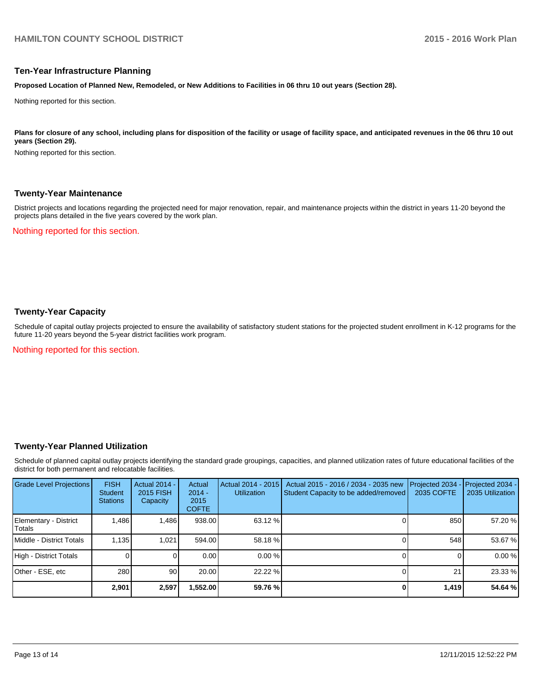#### **Ten-Year Infrastructure Planning**

**Proposed Location of Planned New, Remodeled, or New Additions to Facilities in 06 thru 10 out years (Section 28).**

Nothing reported for this section.

Plans for closure of any school, including plans for disposition of the facility or usage of facility space, and anticipated revenues in the 06 thru 10 out **years (Section 29).**

Nothing reported for this section.

#### **Twenty-Year Maintenance**

District projects and locations regarding the projected need for major renovation, repair, and maintenance projects within the district in years 11-20 beyond the projects plans detailed in the five years covered by the work plan.

Nothing reported for this section.

### **Twenty-Year Capacity**

Schedule of capital outlay projects projected to ensure the availability of satisfactory student stations for the projected student enrollment in K-12 programs for the future 11-20 years beyond the 5-year district facilities work program.

Nothing reported for this section.

#### **Twenty-Year Planned Utilization**

Schedule of planned capital outlay projects identifying the standard grade groupings, capacities, and planned utilization rates of future educational facilities of the district for both permanent and relocatable facilities.

| <b>Grade Level Projections</b>   | <b>FISH</b><br><b>Student</b><br><b>Stations</b> | <b>Actual 2014 -</b><br>2015 FISH<br>Capacity | Actual<br>$2014 -$<br>2015<br><b>COFTE</b> | Actual 2014 - 2015<br><b>Utilization</b> | Actual 2015 - 2016 / 2034 - 2035 new<br>Student Capacity to be added/removed | Projected 2034<br>2035 COFTE | Projected 2034 -<br>2035 Utilization |
|----------------------------------|--------------------------------------------------|-----------------------------------------------|--------------------------------------------|------------------------------------------|------------------------------------------------------------------------------|------------------------------|--------------------------------------|
| Elementary - District<br> Totals | 1.486                                            | 1,486                                         | 938.00                                     | 63.12 %                                  |                                                                              | 850                          | 57.20 %                              |
| <b>IMiddle - District Totals</b> | 1.135                                            | 1.021                                         | 594.00                                     | 58.18 %                                  |                                                                              | 548                          | 53.67 %                              |
| High - District Totals           |                                                  |                                               | 0.00                                       | $0.00\%$                                 |                                                                              |                              | 0.00%                                |
| Other - ESE, etc                 | 280                                              | 90 <sub>1</sub>                               | 20.00                                      | 22.22 %                                  |                                                                              | 21                           | 23.33 %                              |
|                                  | 2.901                                            | 2,597                                         | ,552.00                                    | 59.76 %                                  |                                                                              | 1,419                        | 54.64 %                              |